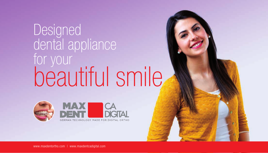# Designed dental appliance for your beautiful smile



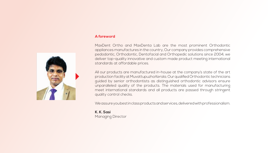

#### **A foreword**

MaxDent Ortho and MaxDenta Lab are the most prominent Orthodontic appliances manufactures in the country, Our company provides comprehensive pedodontic, Orthodontic, Dentofacial and Orthopedic solutions since 2004, we deliver top-quality innovative and custom made product meeting international standards at affordable prices.

All our products are manufactured in-house at the company's state of the art production facility at Muvattupuzha Kerala. Our qualified Orthodontic technicians guided by senior orthodontists as distinguished orthodontic advisors ensure unparalleled quality of the products. The materials used for manufacturing meet international standards and all products are passed through stringent quality control checks.

We assure you best in class products and services, delivered with professionalism.

**K. K. Sasi** Managing Director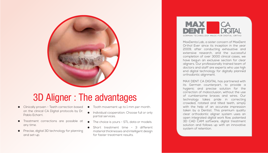# 3D Aligner : The advantages

- **Clinically proven Teeth correction based** on the clinical CA Digital protocols by Dr. Pablo Echarri.
- Treatment corrections are possible at any time.
- **•** Precise, digital 3D technology for planning and set-up.
- $\bullet$  Tooth movement up to 1 mm per month.
- Individual cooperation: Choose full or only partial services.
- The choice is yours STL data or models.
- Short treatment time 3 different material thicknesses and intelligent design for faster treatment results.



MaxDenta Lab, a sister concern of MaxDent Ortho! Ever since its inception in the year 2009, after conducting exhaustive and extensive research, and the successful completion of over 3000 clinical cases, we have begun an exclusive section for clear aligners. Our professionally trained team of doctors and staff are experts who use high end digital technology for digitally planned orthodontic alignment.

MAX DENT CA DIGITAL has partnered with its German counterpart, to provide a hygienic and precise solution for the correction of malocclusion, without the use of cumbersome braces and wires. Our technology takes pride in correcting crowded, rotated and tilted teeth, simply with the help of an accurate impression taken by a Dentist. This premium quality clear orthodontic aligner system uses an open integrated digital work flow, patented 3D CAD CAM software, digital treatment solution and follows up with an innovative system of retention.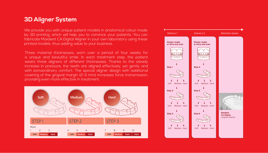### **3D Aligner System**

We provide you with unique patient models in anatomical colour made by 3D printing, which will help you to convince your patients. You can fabricate Maxdent CA Digital Aligner in your own laboratory using these printed models, thus adding value to your business.

Three material thicknesses, worn over a period of four weeks for a unique and beautiful smile. In each treatment step, the patient wears three aligners of different thicknesses. Thanks to the steady increase in pressure, the teeth are aligned effectively, yet gently and with extraordinary comfort. The special aligner design with additional covering of the gingival margin (2-3 mm) increases force transmission, providing even more effective in treatment.



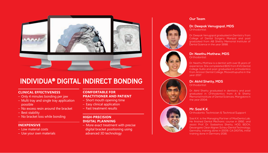

## INDIVIDUA® DIGITAL INDIRECT BONDING

#### **CLINICAL EFFECTIVENESS**

- Only 4 minutes bonding per jaw
- Multi tray and single tray application possible
- No excess resin around the bracket
- Best stability
- No bracket loss while bonding **HIGH-PRECISION**

#### **INEXPENSIVE**

- Low material costs
- Use your own materials

#### **COMFORTABLE FOR PRACTITIONER AND PATIENT**

- Short mouth opening time
- Easy clinical application
- Fast treatment results

# **DIGITAL PLANNING**

– More exact treatment with precise digital bracket positioning using advanced 3D technology

#### **Dr. Deepak Venugopal, MDS Orthodontist** Dr. Deepak Venugopal graduated in Dentistry from College of Dental Surgery, Manipal and post graduated from AB Shetty Memorial Institute of Dental Science in the year 1998.

**Dr. Neethu Mathew, MDS Orthodontist** 

**Our Team**

Dr. Neethu Mathew is a dentist with over 8 years of experience. She compleleted BDS from KVG Dental College Sullia and post graduated in orthodontics from Annoor Dental College, Moovattupuzha in the year 2017.

**Dr. Akhil Shetty, MDS**

Orthodontist

Dr. Akhil Shetty graduated in dentistry and post graduated in Orthodontics from A B Shetty Memorial Institute of Dental Sciences, Mangalore in the year 2004.

#### **Mr. Sasi K.K.**

Orthodontic Technician & Technical Support

Sasi K.K. is the Managing Partner of MaxDenta Lab. He finished Dental Mechanic course in 1992, and assist Prof. Dr. Sadashiva Shetty, HOD, BDCH, Devangare. Clear Aligner, Scheu-Dental Technology, Germany, training done in 2009. CA DIGITAL initial training done in Germany 2016.

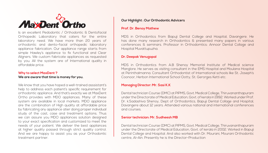

Is an excellent Pedodontic / Orthodontic & Dentofacial Orthopedic Laboratory that caters for the entire laboratory need. We have more than 20 years of orthodontic and dento-facial orthopedic laboratory appliance fabrication. Our appliance range starts from simple Hawley's appliance to fix functional and Clear Aligners. We custom fabricate appliances as requested by you. All the system are of International quality in affordable price.

#### **Why to select MaxDent ? We are aware that time is money for you.**

We know that you have hoped a well-trained asssistant's help to address each patient's specific requirement for orthodontic appliance. And that's exactly we at MaxDent Ortho provides with MDO appliances. Many of these system are available in local markets. MDO appliance are the combination of High quality at affordable price by fabricating any appliance atier doing proper individual study of the cast, case and treatment options. Thus we can assure you MDO appliances solution designed to your exact specification and customized to meet the needs of your patient. We deliver the best appliances at higher quality passed through strict quality control. And we are happy to assist you as your Orthodontic treatment partner.

#### **Our Highlight : Our Orthodontic Advicers**

#### **Prof. Dr. Benoy Mathew**

MDS in Orthodontics from Bapuji Dental College and Hospital, Davangere. He has done many research in Orthodontics & presented many papers in various conferences & seminars. Professor in Orthodomtics: Annoor Dental Collage and Hospital Muvattupuzha.

#### **Dr. Deepak Venugopal**

MDS in Orthodontics from A.B Shenoy Memorial Institute of Medical science Manglore. He serves as visiting consultant in the EMS Hospital and Moulana Hospital at Perinthalmanna. Consultant Orthodontist of International schools like St. Joseph's Coonoor, Herbon International School Ootty, St. Gerorges Ketti etc.

#### **Managing Director: Mr. Sasi K.K**

Dental technician Course (DMC) at PIPMS, Govt. Medical College, Thiruvananthapuram under the Directorate of Medical Education, Govt. of kerala in 1992. Worked under Prof. Dr. k.Sadashiva Shenoy, Dept of Orthodontics, Bapuji Dental Collage and Hospital, Davangere about 12 years. Attended various national and international conferences and courses.

#### **Senior technician: Mr. Sudheesh MB**

Dental technician Course (DMC) at PIPMS, Govt. Medical College, Thiruvananthapuram under the Directorate of Medical Education, Govt. of kerala in 2002. Worked in Bapuji Dental College and Hospital. And also worked with Dr. Mourani, Mourani Orthodontic centre, Al-Ain. Presently he is the Director-Production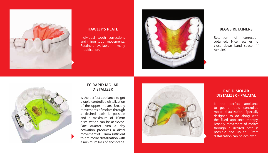

#### **HAWLEY'S PLATE**

Individual tooth corrections and minor tooth movements. Retainers available in many modification.



#### **BEGGS RETAINERS**

Retention of correction obtained. Nice retainer to close down band space. (if ramains)



#### **FC RAPID MOLAR DISTALIZER**

Is the perfect appliance to get a rapid controlled distalization of the upper molars. Broadly movements of molars through a desired path is possible and a maximum of 10mm distalization can be achieved. One quarter turn a day activation produces a distal movement of 0.1mm sufficient to get molar distalization with a minimum loss of anchorage.



#### **RAPID MOLAR DISTALIZER - PALATAL**

Is the perfect appliance to get a rapid controlled molar distalization. Specially designed to do along with the fixed appliance therapy. Broadly movement of molars through a desired path is possible and up to 10mm distalization can be achieved.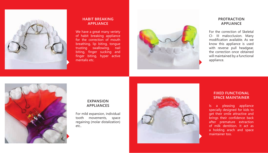

#### **HABIT BREAKING APPLIANCE**

We have a great many veriety of habit breaking appliance for the correction of mouth breathing, lip biting, tongue trusting swallowing, nail biting, finger sucking and finger biting, hyper active mentalis etc.



#### **PROTRACTION APPLIANCE**

For the correction of Skeletal CI- III malocclusion. Many modification available. As we know this appliance is used with reverse pull headgear, the correction once obtained will maintained by a functional appliance.



#### **EXPANSION APPLIANCES**

For mild expansion, individual tooth movements, space regaining (molar distalization) etc..



#### **FIXED FUNCTIONAL SPACE MAINTAINER**

Is a pleasing appliance specially designed for kids to get their smile attractive and brings their confidence back after premature extraction of milk dentition. It act as a holding arach and space maintainer too.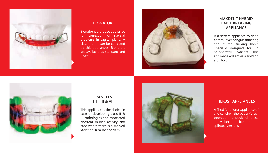

#### **BIONATOR**

Bionator is a precise appliance for correction of skeletal problems in sagital plane. A class II or III can be corrected by this appliances. Bionators are available as standard and reverse.



#### **MAXDENT HYBRID HABIT BREAKING APPLIANCE**

Is a perfect appliance to get a control over tongue thrusting and thumb sucking habit. Specially designed for un co-operative patients. This appliance will act as a holding arch too.



#### **FRANKELS I, II, III & VI**

This appliance is the choice in case of developing class II & III pathologies and associated aberrant muscle activity and case where there is a marked variation in muscle tonicity.



#### **HERBST APPLIANCES**

A fixed functional appliance of choice when the patient's cooporation is doubtful these areavailable in banded and splinted versions.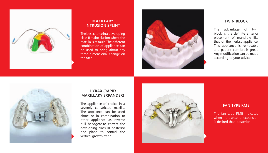

#### **MAXILLARY INTRUSION SPLINT**

The best choice in a developing class II malocclusion where the maxilla is at fault. The different combination of appliance can be used to bring about any three dimensional change on the face.



#### **TWIN BLOCK**

The advantage of twin block is the definite anterior placement of mandible like that of the herbst appliance. This appliance is removable and patient comfort is great. Any modification can be made according to your advice.



#### **HYRAX (RAPID MAXILLARY EXPANDER )**

The appliance of choice in a severely constricted maxilla. The appliance can be used alone or in combination to other appliance as reverse pull headgear-to correct the developing class III posterior bite plane to control the vertical growth trend.



#### **FAN TYPE RME**

The fan type RME indicated when more anterior expansion is desired than posterior.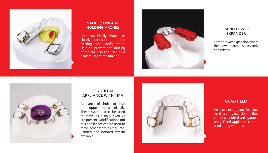

#### **NANCE / LINGUAL HOLDING ARCHES**

Arch can ideally shaped or closely contoured to the existing arch configuration. Help to prevent the drifting of molars, also can used as a bilatarel space maintainer.



#### **RAPID LOWER EXPANDER**

For the lower expansion where the lower arch is severely constricted.



#### **PENDULUM APPLIANCE WITH TMA**

Appliance of choice to drive the upper molar distally. These system scan be used to move 6s distally even 7s are present. Modifications ofd this appliances can be used to move other teeth as required. Banded and bonded system available.



#### **QUAD HELIX**

An exellent adjuant for slow maxillary expansion, they comes as solderd and ligatable ones. Fixed appliance can be used along with this.